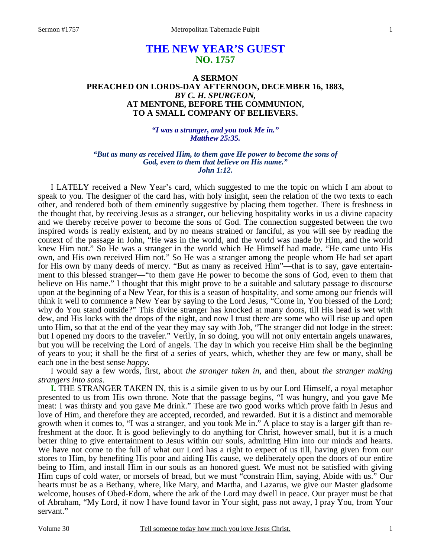## **THE NEW YEAR'S GUEST NO. 1757**

## **A SERMON PREACHED ON LORDS-DAY AFTERNOON, DECEMBER 16, 1883,** *BY C. H. SPURGEON,*  **AT MENTONE, BEFORE THE COMMUNION, TO A SMALL COMPANY OF BELIEVERS.**

*"I was a stranger, and you took Me in." Matthew 25:35.* 

*"But as many as received Him, to them gave He power to become the sons of God, even to them that believe on His name." John 1:12.* 

 I LATELY received a New Year's card, which suggested to me the topic on which I am about to speak to you. The designer of the card has, with holy insight, seen the relation of the two texts to each other, and rendered both of them eminently suggestive by placing them together. There is freshness in the thought that, by receiving Jesus as a stranger, our believing hospitality works in us a divine capacity and we thereby receive power to become the sons of God. The connection suggested between the two inspired words is really existent, and by no means strained or fanciful, as you will see by reading the context of the passage in John, "He was in the world, and the world was made by Him, and the world knew Him not." So He was a stranger in the world which He Himself had made. "He came unto His own, and His own received Him not." So He was a stranger among the people whom He had set apart for His own by many deeds of mercy. "But as many as received Him"—that is to say, gave entertainment to this blessed stranger—"to them gave He power to become the sons of God, even to them that believe on His name." I thought that this might prove to be a suitable and salutary passage to discourse upon at the beginning of a New Year, for this is a season of hospitality, and some among our friends will think it well to commence a New Year by saying to the Lord Jesus, "Come in, You blessed of the Lord; why do You stand outside?" This divine stranger has knocked at many doors, till His head is wet with dew, and His locks with the drops of the night, and now I trust there are some who will rise up and open unto Him, so that at the end of the year they may say with Job, "The stranger did not lodge in the street: but I opened my doors to the traveler." Verily, in so doing, you will not only entertain angels unawares, but you will be receiving the Lord of angels. The day in which you receive Him shall be the beginning of years to you; it shall be the first of a series of years, which, whether they are few or many, shall be each one in the best sense *happy.*

 I would say a few words, first, about *the stranger taken in,* and then, about *the stranger making strangers into sons*.

**I.** THE STRANGER TAKEN IN, this is a simile given to us by our Lord Himself, a royal metaphor presented to us from His own throne. Note that the passage begins, "I was hungry, and you gave Me meat: I was thirsty and you gave Me drink." These are two good works which prove faith in Jesus and love of Him, and therefore they are accepted, recorded, and rewarded. But it is a distinct and memorable growth when it comes to, "I was a stranger, and you took Me in." A place to stay is a larger gift than refreshment at the door. It is good believingly to do anything for Christ, however small, but it is a much better thing to give entertainment to Jesus within our souls, admitting Him into our minds and hearts. We have not come to the full of what our Lord has a right to expect of us till, having given from our stores to Him, by benefiting His poor and aiding His cause, we deliberately open the doors of our entire being to Him, and install Him in our souls as an honored guest. We must not be satisfied with giving Him cups of cold water, or morsels of bread, but we must "constrain Him, saying, Abide with us." Our hearts must be as a Bethany, where, like Mary, and Martha, and Lazarus, we give our Master gladsome welcome, houses of Obed-Edom, where the ark of the Lord may dwell in peace. Our prayer must be that of Abraham, "My Lord, if now I have found favor in Your sight, pass not away, I pray You, from Your servant."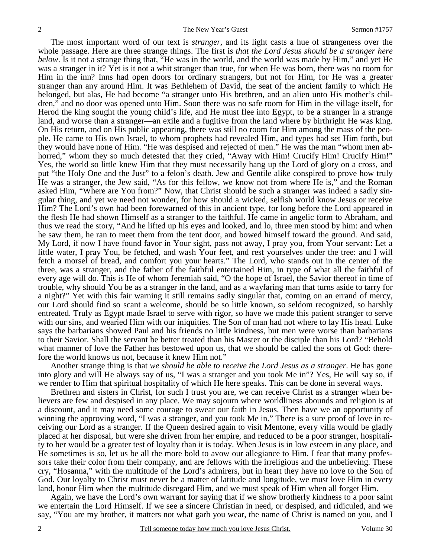The most important word of our text is *stranger,* and its light casts a hue of strangeness over the whole passage. Here are three strange things. The first is *that the Lord Jesus should be a stranger here below*. Is it not a strange thing that, "He was in the world, and the world was made by Him," and yet He was a stranger in it? Yet is it not a whit stranger than true, for when He was born, there was no room for Him in the inn? Inns had open doors for ordinary strangers, but not for Him, for He was a greater stranger than any around Him. It was Bethlehem of David, the seat of the ancient family to which He belonged, but alas, He had become "a stranger unto His brethren, and an alien unto His mother's children," and no door was opened unto Him. Soon there was no safe room for Him in the village itself, for Herod the king sought the young child's life, and He must flee into Egypt, to be a stranger in a strange land, and worse than a stranger—an exile and a fugitive from the land where by birthright He was king. On His return, and on His public appearing, there was still no room for Him among the mass of the people. He came to His own Israel, to whom prophets had revealed Him, and types had set Him forth, but they would have none of Him. "He was despised and rejected of men." He was the man "whom men abhorred," whom they so much detested that they cried, "Away with Him! Crucify Him! Crucify Him!" Yes, the world so little knew Him that they must necessarily hang up the Lord of glory on a cross, and put "the Holy One and the Just" to a felon's death. Jew and Gentile alike conspired to prove how truly He was a stranger, the Jew said, "As for this fellow, we know not from where He is," and the Roman asked Him, "Where are You from?" Now, that Christ should be such a stranger was indeed a sadly singular thing, and yet we need not wonder, for how should a wicked, selfish world know Jesus or receive Him? The Lord's own had been forewarned of this in ancient type, for long before the Lord appeared in the flesh He had shown Himself as a stranger to the faithful. He came in angelic form to Abraham, and thus we read the story, "And he lifted up his eyes and looked, and lo, three men stood by him: and when he saw them, he ran to meet them from the tent door, and bowed himself toward the ground. And said, My Lord, if now I have found favor in Your sight, pass not away, I pray you, from Your servant: Let a little water, I pray You, be fetched, and wash Your feet, and rest yourselves under the tree: and I will fetch a morsel of bread, and comfort you your hearts." The Lord, who stands out in the center of the three, was a stranger, and the father of the faithful entertained Him, in type of what all the faithful of every age will do. This is He of whom Jeremiah said, "O the hope of Israel, the Savior thereof in time of trouble, why should You be as a stranger in the land, and as a wayfaring man that turns aside to tarry for a night?" Yet with this fair warning it still remains sadly singular that, coming on an errand of mercy, our Lord should find so scant a welcome, should be so little known, so seldom recognized, so harshly entreated. Truly as Egypt made Israel to serve with rigor, so have we made this patient stranger to serve with our sins, and wearied Him with our iniquities. The Son of man had not where to lay His head. Luke says the barbarians showed Paul and his friends no little kindness, but men were worse than barbarians to their Savior. Shall the servant be better treated than his Master or the disciple than his Lord? "Behold what manner of love the Father has bestowed upon us, that we should be called the sons of God: therefore the world knows us not, because it knew Him not."

 Another strange thing is that *we should be able to receive the Lord Jesus as a stranger*. He has gone into glory and will He always say of us, "I was a stranger and you took Me in"? Yes, He will say so, if we render to Him that spiritual hospitality of which He here speaks. This can be done in several ways.

 Brethren and sisters in Christ, for such I trust you are, we can receive Christ as a stranger when believers are few and despised in any place. We may sojourn where worldliness abounds and religion is at a discount, and it may need some courage to swear our faith in Jesus. Then have we an opportunity of winning the approving word, "I was a stranger, and you took Me in." There is a sure proof of love in receiving our Lord as a stranger. If the Queen desired again to visit Mentone, every villa would be gladly placed at her disposal, but were she driven from her empire, and reduced to be a poor stranger, hospitality to her would be a greater test of loyalty than it is today. When Jesus is in low esteem in any place, and He sometimes is so, let us be all the more bold to avow our allegiance to Him. I fear that many professors take their color from their company, and are fellows with the irreligious and the unbelieving. These cry, "Hosanna," with the multitude of the Lord's admirers, but in heart they have no love to the Son of God. Our loyalty to Christ must never be a matter of latitude and longitude, we must love Him in every land, honor Him when the multitude disregard Him, and we must speak of Him when all forget Him.

 Again, we have the Lord's own warrant for saying that if we show brotherly kindness to a poor saint we entertain the Lord Himself. If we see a sincere Christian in need, or despised, and ridiculed, and we say, "You are my brother, it matters not what garb you wear, the name of Christ is named on you, and I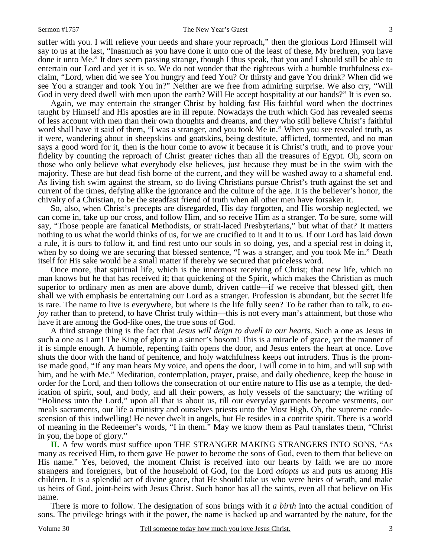suffer with you. I will relieve your needs and share your reproach," then the glorious Lord Himself will say to us at the last, "Inasmuch as you have done it unto one of the least of these, My brethren, you have done it unto Me." It does seem passing strange, though I thus speak, that you and I should still be able to entertain our Lord and yet it is so. We do not wonder that the righteous with a humble truthfulness exclaim, "Lord, when did we see You hungry and feed You? Or thirsty and gave You drink? When did we see You a stranger and took You in?" Neither are we free from admiring surprise. We also cry, "Will God in very deed dwell with men upon the earth? Will He accept hospitality at our hands?" It is even so.

 Again, we may entertain the stranger Christ by holding fast His faithful word when the doctrines taught by Himself and His apostles are in ill repute. Nowadays the truth which God has revealed seems of less account with men than their own thoughts and dreams, and they who still believe Christ's faithful word shall have it said of them, "I was a stranger, and you took Me in." When you see revealed truth, as it were, wandering about in sheepskins and goatskins, being destitute, afflicted, tormented, and no man says a good word for it, then is the hour come to avow it because it is Christ's truth, and to prove your fidelity by counting the reproach of Christ greater riches than all the treasures of Egypt. Oh, scorn on those who only believe what everybody else believes, just because they must be in the swim with the majority. These are but dead fish borne of the current, and they will be washed away to a shameful end. As living fish swim against the stream, so do living Christians pursue Christ's truth against the set and current of the times, defying alike the ignorance and the culture of the age. It is the believer's honor, the chivalry of a Christian, to be the steadfast friend of truth when all other men have forsaken it.

 So, also, when Christ's precepts are disregarded, His day forgotten, and His worship neglected, we can come in, take up our cross, and follow Him, and so receive Him as a stranger. To be sure, some will say, "Those people are fanatical Methodists, or strait-laced Presbyterians," but what of that? It matters nothing to us what the world thinks of us, for we are crucified to it and it to us. If our Lord has laid down a rule, it is ours to follow it, and find rest unto our souls in so doing, yes, and a special rest in doing it, when by so doing we are securing that blessed sentence, "I was a stranger, and you took Me in." Death itself for His sake would be a small matter if thereby we secured that priceless word.

 Once more, that spiritual life, which is the innermost receiving of Christ; that new life, which no man knows but he that has received it; that quickening of the Spirit, which makes the Christian as much superior to ordinary men as men are above dumb, driven cattle—if we receive that blessed gift, then shall we with emphasis be entertaining our Lord as a stranger. Profession is abundant, but the secret life is rare. The name to live is everywhere, but where is the life fully seen? To *be* rather than to talk, to *enjoy* rather than to pretend, to have Christ truly within—this is not every man's attainment, but those who have it are among the God-like ones, the true sons of God.

 A third strange thing is the fact that *Jesus will deign to dwell in our hearts*. Such a one as Jesus in such a one as I am! The King of glory in a sinner's bosom! This is a miracle of grace, yet the manner of it is simple enough. A humble, repenting faith opens the door, and Jesus enters the heart at once. Love shuts the door with the hand of penitence, and holy watchfulness keeps out intruders. Thus is the promise made good, "If any man hears My voice, and opens the door, I will come in to him, and will sup with him, and he with Me." Meditation, contemplation, prayer, praise, and daily obedience, keep the house in order for the Lord, and then follows the consecration of our entire nature to His use as a temple, the dedication of spirit, soul, and body, and all their powers, as holy vessels of the sanctuary; the writing of "Holiness unto the Lord," upon all that is about us, till our everyday garments become vestments, our meals sacraments, our life a ministry and ourselves priests unto the Most High. Oh, the supreme condescension of this indwelling! He never dwelt in angels, but He resides in a contrite spirit. There is a world of meaning in the Redeemer's words, "I in them." May we know them as Paul translates them, "Christ in you, the hope of glory."

**II.** A few words must suffice upon THE STRANGER MAKING STRANGERS INTO SONS, "As many as received Him, to them gave He power to become the sons of God, even to them that believe on His name." Yes, beloved, the moment Christ is received into our hearts by faith we are no more strangers and foreigners, but of the household of God, for the Lord *adopts us* and puts us among His children. It is a splendid act of divine grace, that He should take us who were heirs of wrath, and make us heirs of God, joint-heirs with Jesus Christ. Such honor has all the saints, even all that believe on His name.

 There is more to follow. The designation of sons brings with it *a birth* into the actual condition of sons. The privilege brings with it the power, the name is backed up and warranted by the nature, for the